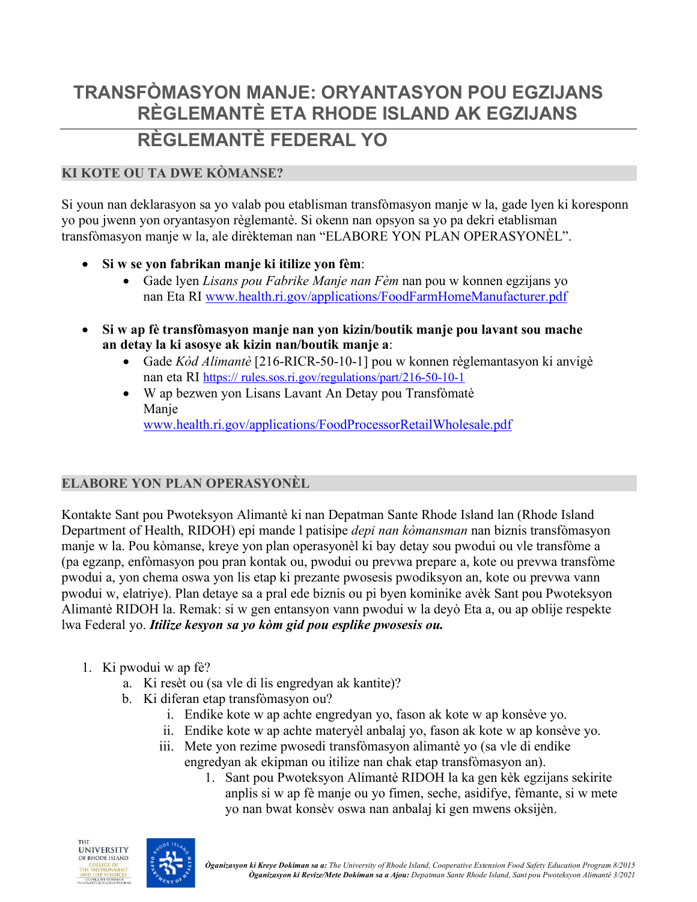# **TRANSFÒMASYON MANJE: ORYANTASYON POU EGZIJANS RÈGLEMANTÈ ETA RHODE ISLAND AK EGZIJANS**

# **RÈGLEMANTÈ FEDERAL YO**

# **KI KOTE OU TA DWE KÒMANSE?**

Si youn nan deklarasyon sa yo valab pou etablisman transfòmasyon manje w la, gade lyen ki koresponn yo pou jwenn yon oryantasyon règlemantè. Si okenn nan opsyon sa yo pa dekri etablisman transfòmasyon manje w la, ale dirèkteman nan "ELABORE YON PLAN OPERASYONÈL".

- **Si w se yon fabrikan manje ki itilize yon fèm**:
	- Gade lyen *Lisans pou Fabrike Manje nan Fèm* nan pou w konnen egzijans yo nan Eta RI [www.health.ri.gov/applications/FoodFarmHomeManufacturer.pdf](https://www.health.ri.gov/applications/FoodFarmHomeManufacturer.pdf)
- **Si w ap fè transfòmasyon manje nan yon kizin/boutik manje pou lavant sou mache an detay la ki asosye ak kizin nan/boutik manje a**:
	- Gade *Kòd Alimantè* [216-RICR-50-10-1] pou w konnen règlemantasyon ki anvigè nan eta RI https:// [rules.sos.ri.gov/regulations/part/216-50-10-1](http://sos.ri.gov/documents/archives/regdocs/released/pdf/DOH/6992.pdf)
	- W ap bezwen yon Lisans Lavant An Detay pou Transfòmatè Manje [www.health.ri.gov/applications/FoodProcessorRetailWholesale.pdf](https://www.health.ri.gov/applications/FoodProcessorRetailWholesale.pdf)

# **ELABORE YON PLAN OPERASYONÈL**

Kontakte Sant pou Pwoteksyon Alimantè ki nan Depatman Sante Rhode Island lan (Rhode Island Department of Health, RIDOH) epi mande l patisipe *depi nan kòmansman* nan biznis transfòmasyon manje w la. Pou kòmanse, kreye yon plan operasyonèl ki bay detay sou pwodui ou vle transfòme a (pa egzanp, enfòmasyon pou pran kontak ou, pwodui ou prevwa prepare a, kote ou prevwa transfòme pwodui a, yon chema oswa yon lis etap ki prezante pwosesis pwodiksyon an, kote ou prevwa vann pwodui w, elatriye). Plan detaye sa a pral ede biznis ou pi byen kominike avèk Sant pou Pwoteksyon Alimantè RIDOH la. Remak: si w gen entansyon vann pwodui w la deyò Eta a, ou ap oblije respekte lwa Federal yo. *Itilize kesyon sa yo kòm gid pou esplike pwosesis ou.*

- 1. Ki pwodui w ap fè?
	- a. Ki resèt ou (sa vle di lis engredyan ak kantite)?
	- b. Ki diferan etap transfòmasyon ou?
		- i. Endike kote w ap achte engredyan yo, fason ak kote w ap konsève yo.
		- ii. Endike kote w ap achte materyèl anbalaj yo, fason ak kote w ap konsève yo.
		- iii. Mete yon rezime pwosedi transfòmasyon alimantè yo (sa vle di endike engredyan ak ekipman ou itilize nan chak etap transfòmasyon an).
			- 1. Sant pou Pwoteksyon Alimantè RIDOH la ka gen kèk egzijans sekirite anplis si w ap fè manje ou yo fimen, seche, asidifye, fèmante, si w mete yo nan bwat konsèv oswa nan anbalaj ki gen mwens oksijèn.



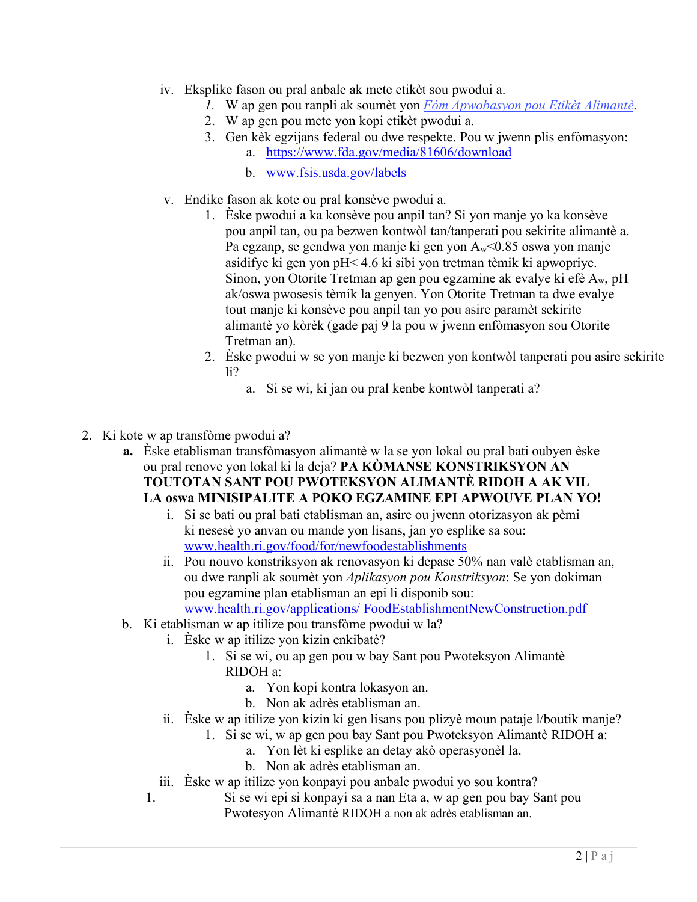- iv. Eksplike fason ou pral anbale ak mete etikèt sou pwodui a.
	- *1.* W ap gen pou ranpli ak soumèt yon *[Fòm Apwobasyon pou Etikèt Alimantè](https://www.health.ri.gov/forms/approval/FoodLabel.pdf)*.
	- 2. W ap gen pou mete yon kopi etikèt pwodui a.
	- 3. Gen kèk egzijans federal ou dwe respekte. Pou w jwenn plis enfòmasyon:
		- a. [https://www.fda.gov/media/81606/download](http://www.fda.gov/Food/GuidanceRegulation/GuidanceDocumentsRegulatoryInformation/LabelingNutrition/ucm2006828.htm)
		- b. [www.fsis.usda.gov/labels](http://www.fsis.usda.gov/labels)
	- v. Endike fason ak kote ou pral konsève pwodui a.
		- 1. Èske pwodui a ka konsève pou anpil tan? Si yon manje yo ka konsève pou anpil tan, ou pa bezwen kontwòl tan/tanperati pou sekirite alimantè a. Pa egzanp, se gendwa yon manje ki gen yon  $A_w < 0.85$  oswa yon manje asidifye ki gen yon pH< 4.6 ki sibi yon tretman tèmik ki apwopriye. Sinon, yon Otorite Tretman ap gen pou egzamine ak evalye ki efè Aw, pH ak/oswa pwosesis tèmik la genyen. Yon Otorite Tretman ta dwe evalye tout manje ki konsève pou anpil tan yo pou asire paramèt sekirite alimantè yo kòrèk (gade paj 9 la pou w jwenn enfòmasyon sou Otorite Tretman an).
		- 2. Èske pwodui w se yon manje ki bezwen yon kontwòl tanperati pou asire sekirite li?
			- a. Si se wi, ki jan ou pral kenbe kontwòl tanperati a?
- 2. Ki kote w ap transfòme pwodui a?
	- **a.** Èske etablisman transfòmasyon alimantè w la se yon lokal ou pral bati oubyen èske ou pral renove yon lokal ki la deja? **PA KÒMANSE KONSTRIKSYON AN TOUTOTAN SANT POU PWOTEKSYON ALIMANTÈ RIDOH A AK VIL LA oswa MINISIPALITE A POKO EGZAMINE EPI APWOUVE PLAN YO!**
		- i. Si se bati ou pral bati etablisman an, asire ou jwenn otorizasyon ak pèmi ki nesesè yo anvan ou mande yon lisans, jan yo esplike sa sou: [www.health.ri.gov/food/for/newfoodestablishments](https://health.ri.gov/food/for/newfoodestablishments/)
		- ii. Pou nouvo konstriksyon ak renovasyon ki depase 50% nan valè etablisman an, ou dwe ranpli ak soumèt yon *Aplikasyon pou Konstriksyon*: Se yon [dokiman](https://www.health.ri.gov/applications/FoodEstablishmentNewConstruction.pdf)  [pou egzamine plan etablisman an epi li disponib sou:](https://www.health.ri.gov/applications/FoodEstablishmentNewConstruction.pdf)  [www.health.ri.gov/applications/](https://www.health.ri.gov/applications/FoodEstablishmentNewConstruction.pdf) FoodEstablishmentNewConstruction.pdf
	- b. Ki etablisman w ap itilize pou transfòme pwodui w la?
		- i. Èske w ap itilize yon kizin enkibatè?
			- 1. Si se wi, ou ap gen pou w bay Sant pou Pwoteksyon Alimantè RIDOH a:
				- a. Yon kopi kontra lokasyon an.
				- b. Non ak adrès etablisman an.
		- ii. Èske w ap itilize yon kizin ki gen lisans pou plizyè moun pataje l/boutik manje?
			- 1. Si se wi, w ap gen pou bay Sant pou Pwoteksyon Alimantè RIDOH a:
				- a. Yon lèt ki esplike an detay akò operasyonèl la.
				- b. Non ak adrès etablisman an.
		- iii. Èske w ap itilize yon konpayi pou anbale pwodui yo sou kontra?
		- 1. Si se wi epi si konpayi sa a nan Eta a, w ap gen pou bay Sant pou Pwotesyon Alimantè RIDOH a non ak adrès etablisman an.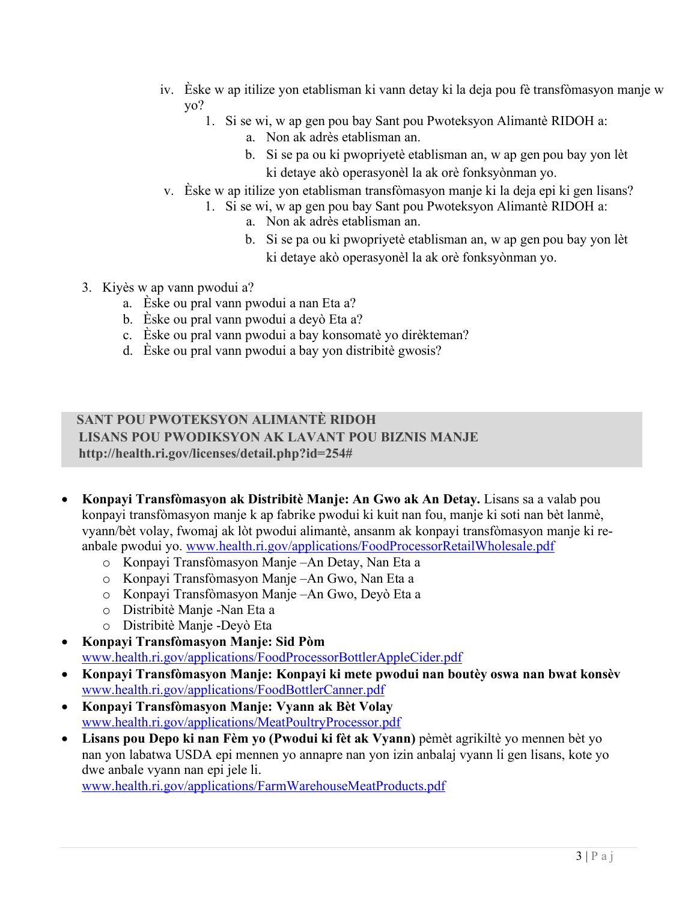- iv. Èske w ap itilize yon etablisman ki vann detay ki la deja pou fè transfòmasyon manje w yo?
	- 1. Si se wi, w ap gen pou bay Sant pou Pwoteksyon Alimantè RIDOH a:
		- a. Non ak adrès etablisman an.
		- b. Si se pa ou ki pwopriyetè etablisman an, w ap gen pou bay yon lèt ki detaye akò operasyonèl la ak orè fonksyònman yo.
- v. Èske w ap itilize yon etablisman transfòmasyon manje ki la deja epi ki gen lisans?
	- 1. Si se wi, w ap gen pou bay Sant pou Pwoteksyon Alimantè RIDOH a:
		- a. Non ak adrès etablisman an.
		- b. Si se pa ou ki pwopriyetè etablisman an, w ap gen pou bay yon lèt ki detaye akò operasyonèl la ak orè fonksyònman yo.
- 3. Kiyès w ap vann pwodui a?
	- a. Èske ou pral vann pwodui a nan Eta a?
	- b. Èske ou pral vann pwodui a deyò Eta a?
	- c. Èske ou pral vann pwodui a bay konsomatè yo dirèkteman?
	- d. Èske ou pral vann pwodui a bay yon distribitè gwosis?

## **SANT POU PWOTEKSYON ALIMANTÈ RIDOH LISANS POU PWODIKSYON AK LAVANT POU BIZNIS MANJE [http://health.ri.gov/licenses/detail.php?id=254#](http://health.ri.gov/licenses/detail.php?id=254)**

- **Konpayi Transfòmasyon ak Distribitè Manje: An Gwo ak An Detay.** Lisans sa a valab pou konpayi transfòmasyon manje k ap fabrike pwodui ki kuit nan fou, manje ki soti nan bèt lanmè, vyann/bèt volay, fwomaj ak lòt pwodui alimantè, ansanm ak konpayi transfòmasyon manje ki reanbale pwodui yo. [www.health.ri.gov/applications/FoodProcessorRetailWholesale.pdf](https://www.health.ri.gov/applications/FoodProcessorRetailWholesale.pdf)
	- o Konpayi Transfòmasyon Manje –An Detay, Nan Eta a
	- o Konpayi Transfòmasyon Manje –An Gwo, Nan Eta a
	- o Konpayi Transfòmasyon Manje –An Gwo, Deyò Eta a
	- o Distribitè Manje -Nan Eta a
	- o Distribitè Manje -Deyò Eta
- **Konpayi Transfòmasyon Manje: Sid Pòm** [www.health.ri.gov/applications/FoodProcessorBottlerAppleCider.pdf](https://www.health.ri.gov/applications/FoodProcessorBottlerAppleCider.pdf)
- **Konpayi Transfòmasyon Manje: Konpayi ki mete pwodui nan boutèy oswa nan bwat konsèv** [www.health.ri.gov/applications/FoodBottlerCanner.pdf](https://www.health.ri.gov/applications/FoodBottlerCanner.pdf)
- **Konpayi Transfòmasyon Manje: Vyann ak Bèt Volay** [www.health.ri.gov/applications/MeatPoultryProcessor.pdf](https://www.health.ri.gov/applications/MeatPoultryProcessor.pdf)
- **Lisans pou Depo ki nan Fèm yo (Pwodui ki fèt ak Vyann)** pèmèt agrikiltè yo mennen bèt yo nan yon labatwa USDA epi mennen yo annapre nan yon izin anbalaj vyann li gen lisans, kote yo dwe anbale vyann nan epi jele li.

[www.health.ri.gov/applications/FarmWarehouseMeatProducts.pdf](https://www.health.ri.gov/applications/FarmWarehouseMeatProducts.pdf)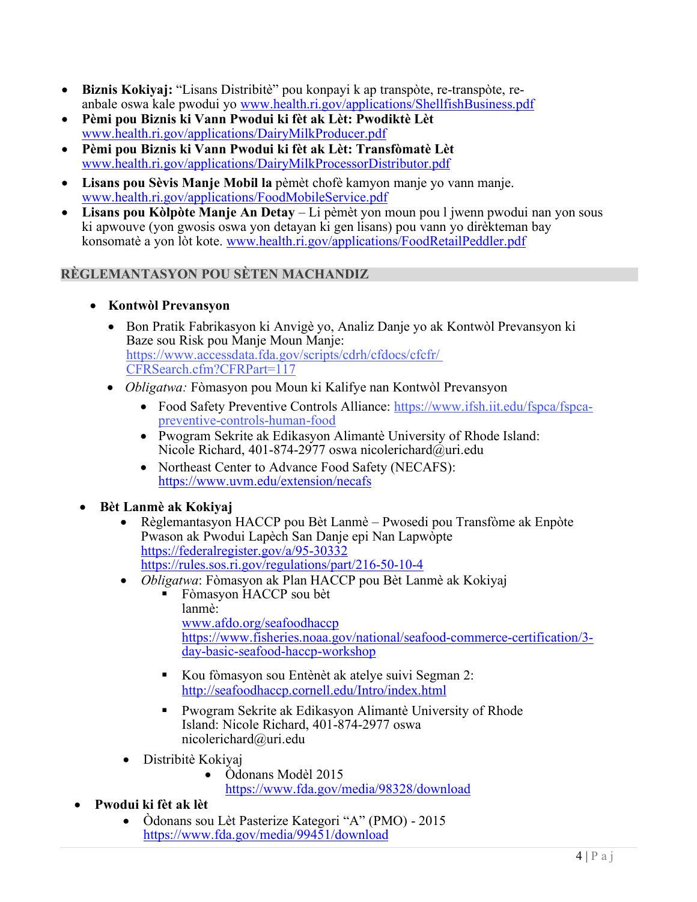- **Biznis Kokiyaj:** "Lisans Distribitè" pou konpayi k ap transpòte, re-transpòte, reanbale oswa kale pwodui yo [www.health.ri.gov/applications/ShellfishBusiness.pdf](http://www.health.ri.gov/applications/ShellfishBusiness.pdf)
- **Pèmi pou Biznis ki Vann Pwodui ki fèt ak Lèt: Pwodiktè Lèt**  [www.health.ri.gov/applications/DairyMilkProducer.pdf](https://www.health.ri.gov/applications/DairyMilkProducer.pdf)
- **Pèmi pou Biznis ki Vann Pwodui ki fèt ak Lèt: Transfòmatè Lèt** [www.health.ri.gov/applications/DairyMilkProcessorDistributor.pdf](https://www.health.ri.gov/applications/DairyMilkProcessorDistributor.pdf)
- **Lisans pou Sèvis Manje Mobil la** pèmèt chofè kamyon manje yo vann manje. [www.health.ri.gov/applications/FoodMobileService.pdf](http://www.health.ri.gov/applications/FoodMobileService.pdf)
- **Lisans pou Kòlpòte Manje An Detay**  Li pèmèt yon moun pou l jwenn pwodui nan yon sous ki apwouve (yon gwosis oswa yon detayan ki gen lisans) pou vann yo dirèkteman bay konsomatè a yon lòt kote. [www.health.ri.gov/applications/FoodRetailPeddler.pdf](http://www.health.ri.gov/applications/FoodRetailPeddler.pdf)

## **RÈGLEMANTASYON POU SÈTEN MACHANDIZ**

- **Kontwòl Prevansyon**
	- Bon Pratik Fabrikasyon ki Anvigè yo, Analiz Danje yo ak Kontwòl Prevansyon ki Baze sou Risk pou Manje Moun Manje: [https://www.accessdata.fda.gov/scripts/cdrh/cfdocs/cfcfr/](http://www.accessdata.fda.gov/scripts/cdrh/cfdocs/cfcfr/) CFRSearch.cfm?CFRPart=117
	- *Obligatwa:* Fòmasyon pou Moun ki Kalifye nan Kontwòl Prevansyon
		- [Food Safety Preventive Controls Alliance: https://www.ifsh.iit.edu/fspca/fspca](https://www.ifsh.iit.edu/fspca/fspca-preventive-controls-human-food)[preventive-controls-human-food](https://www.ifsh.iit.edu/fspca/fspca-preventive-controls-human-food)
		- Pwogram Sekrite ak Edikasyon Alimantè University of Rhode Island: Nicole Richard, 401-874-2977 oswa [nicolerichard@uri.edu](mailto:nicolerichard@uri.edu)
		- Northeast Center to Advance Food Safety (NECAFS): <https://www.uvm.edu/extension/necafs>
- **Bèt Lanmè ak Kokiyaj**
	- Rè[glemantasyon HACCP pou Bèt Lanmè –](http://www.afdo.org/seafoodhaccp) Pwosedi pou Transfòme ak Enpòte Pwason ak Pwodui Lapèch San Danje epi Nan Lapwòpte https://federalregister.gov/a/95-30332 https://rules.sos.ri.gov/regulations/part/216-50-10-4
	- *Obligatwa*: Fòmasyon ak Plan HACCP pou Bèt Lanmè ak Kokiyaj
		- Fòmasyon HACCP sou bèt lanmè: [www.afdo.org/seafoodhaccp](http://www.afdo.org/seafoodhaccp) [https://www.fisheries.noaa.gov/national/seafood-commerce-certification/3](http://www.fisheries.noaa.gov/national/seafood-commerce-certification/3-) day-basic-seafood-haccp-workshop
			- Kou fòmasyon sou Entènèt ak atelye suivi Segman 2: <http://seafoodhaccp.cornell.edu/Intro/index.html>
			- [Pwogram Sekrite ak E](https://www.fda.gov/media/99451/download)dikasyon Alimantè University of Rhode Island: Nicole Richard, 401-874-2977 oswa [nicolerichard@uri.edu](mailto:nicolerichard@uri.edu)
	- Distribitè Kokiyaj
		- Òdonans Modèl 2015
			- [https://www.fda.gov/media/98328/download](http://www.fda.gov/media/98328/download)
- **Pwodui ki fèt ak lèt**
	- Òdonans sou Lèt Pasterize Kategori "A" (PMO) 2015 [https://www.fda.gov/media/99451/download](http://www.fda.gov/media/99451/download)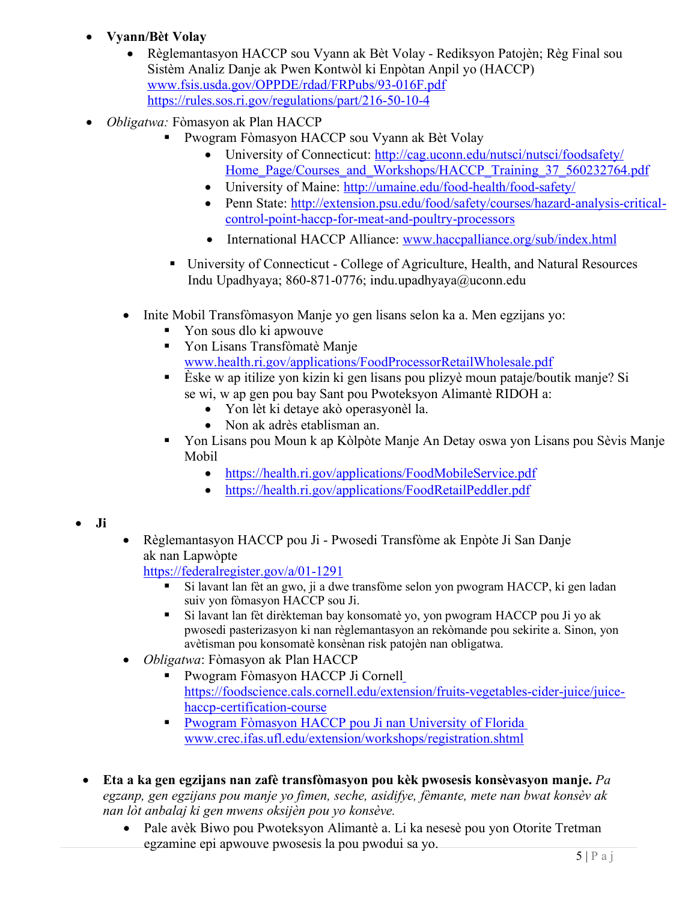- **Vyann/Bèt Volay**
	- Règlemantasyon HACCP sou Vyann ak Bèt Volay Rediksyon Patojèn; Règ Final sou Sistèm Analiz Danje ak Pwen Kontwòl ki Enpòtan Anpil yo (HACCP) [www.fsis.usda.gov/OPPDE/rdad/FRPubs/93-016F.pdf](http://www.fsis.usda.gov/OPPDE/rdad/FRPubs/93-016F.pdf) https://rules.sos.ri.gov/regulations/part/216-50-10-4
- *Obligatwa:* Fòmasyon ak Plan HACCP
	- Pwogram Fòmasyon HACCP sou Vyann ak Bèt Volay
		- University of Connecticut:<http://cag.uconn.edu/nutsci/nutsci/foodsafety/> Home Page/Courses and Workshops/HACCP Training 37 560232764.pdf
		- [University of Maine:](http://www.cag.uconn.edu/nutsci/nutsci/foodsafety/Food_Processing_landing_page/Processing_Meat_%26_Poultry/HACCP.php) <http://umaine.edu/food-health/food-safety/>
		- Penn State: [http://extension.psu.edu/food/safety/courses/hazard-analysis-critical](http://extension.psu.edu/food/safety/courses/hazard-analysis-critical-)[control-point-haccp-for-meat-and-poultry-processors](http://umaine.edu/food-health/food-safety/)
		- International HACCP Alliance: [www.haccpalliance.org/sub/index.html](http://www.haccpalliance.org/sub/index.html)
	- University of Connecticut [College of Agriculture, Health, a](http://extension.psu.edu/food/safety/courses/hazard-analysis-critical-control-point-haccp-for-meat-and-poultry-processors)nd Natural Resources Indu Upadhyaya; 860-871-0776; [indu.upadhyaya@uconn.edu](mailto:indu.upadhyaya@uconn.edu)
	- Inite Mobil Transfòmasyon Manje yo gen lisans selon ka a. Men egzijans yo:
		- Yon sous dlo ki apwouve
		- Yon Lisans Transfòmatè Manje [www.health.ri.gov/applications/FoodProcessorRetailWholesale.pdf](https://www.health.ri.gov/applications/FoodProcessorRetailWholesale.pdf)
		- Èske w ap itilize yon kizin ki gen lisans pou plizyè moun pataje/boutik manje? Si se wi, w ap gen pou bay [Sant pou Pwoteksyon Alimantè RIDOH a:](http://www.health.ri.gov/applications/FoodMobileService.pdf)
			- [Yon lèt ki detaye akò operasyonèl la.](http://www.health.ri.gov/applications/FoodRetailPeddler.pdf)
			- Non ak adrès etablisman an.
		- Yon Lisans pou Moun k ap Kòlpòte Manje An Detay oswa yon Lisans pou Sèvis Manje Mobil
			- <https://health.ri.gov/applications/FoodMobileService.pdf>
			- <https://health.ri.gov/applications/FoodRetailPeddler.pdf>

- **Ji**
- Règlemantasyon HACCP pou Ji Pwosedi Transfòme ak Enpòte Ji San Danje ak nan Lapwòpte

https://federalregister.gov/a/01-1291

- Si lavant lan fèt an gwo, ji a dwe transfòme selon yon pwogram HACCP, ki gen ladan suiv yon fòmasyon HACCP sou Ji.
- Si lavant lan fèt dirèkteman bay konsomatè yo, yon pwogram HACCP pou Ji yo ak pwosedi pasterizasyon ki nan [règlemantasyon an rekòmande pou sekirite a. Sinon, yon](https://foodscience.cals.cornell.edu/extension/fruits-vegetables-cider-juice/juice-haccp-certification-course)  [avètisman pou konsomatè konsènan](https://foodscience.cals.cornell.edu/extension/fruits-vegetables-cider-juice/juice-haccp-certification-course) [risk patojèn nan obligatwa.](https://foodscience.cals.cornell.edu/extension/fruits-vegetables-cider-juice/juice-haccp-certification-course)
- *Obligatwa*: Fòmasyon ak Plan HACCP
	- [Pwogram Fòmasyon HACCP Ji Cornell](http://www.crec.ifas.ufl.edu/extension/workshops/registration.shtml) https://foodscience.cals.cornell.edu/extension/fruits-vegetables-cider-juice/juicehaccp-certification-course
	- Pwogram Fòmasyon HACCP pou Ji nan University of Florida [www.crec.ifas.ufl.edu/extension/workshops/registration.shtml](http://www.crec.ifas.ufl.edu/extension/workshops/registration.shtml)
- **Eta a ka gen egzijans nan zafè transfòmasyon pou kèk pwosesis konsèvasyon manje.** *Pa egzanp, gen egzijans pou manje yo fimen, seche, asidifye, fèmante, mete nan bwat konsèv ak nan lòt anbalaj ki gen mwens oksijèn pou yo konsève.*
	- Pale avèk Biwo pou Pwoteksyon Alimantè a. Li ka nesesè pou yon Otorite Tretman egzamine epi apwouve pwosesis la pou pwodui sa yo.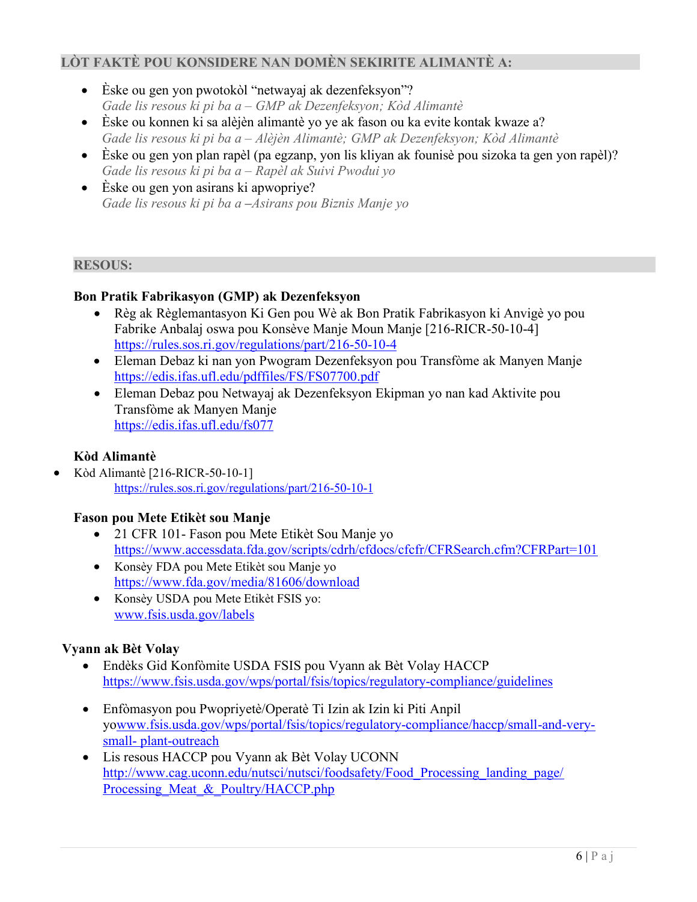### **LÒT FAKTÈ POU KONSIDERE NAN DOMÈN SEKIRITE ALIMANTÈ A:**

- Èske ou gen yon pwotokòl "netwayaj ak dezenfeksyon"? *Gade lis resous ki pi ba a – GMP ak Dezenfeksyon; Kòd Alimantè*
- Èske ou konnen ki sa alèjèn alimantè yo ye ak fason ou ka evite kontak kwaze a? *Gade lis resous ki pi ba a – Alèjèn Alimantè; GMP ak Dezenfeksyon; Kòd Alimantè*
- Èske ou gen yon plan rapèl (pa egzanp, yon lis kliyan ak founisè pou sizoka ta gen yon rapèl)? *Gade lis resous ki pi ba a – Rapèl ak Suivi Pwodui yo*
- Èske ou gen yon asirans ki apwopriye? *Gade lis resous ki pi ba a* **–***Asirans pou Biznis Manje yo*

## **RESOUS:**

# **Bon Pratik Fabrikasyon (GMP) ak Dezenfeksyon**

- Règ ak Règlemantasyon Ki Gen pou Wè ak Bon Pratik Fabrikasyon ki Anvigè yo pou Fabrike Anbalaj oswa pou Konsève Manje Moun Manje [216-RICR-50-10-4] https://rules.sos.ri.gov/regulations/part/216-50-10-4
- Eleman Debaz ki nan yon Pwogram Dezenfeksyon pou Transfòme ak Manyen Manje <https://edis.ifas.ufl.edu/pdffiles/FS/FS07700.pdf>
- Eleman Debaz pou Netwayaj ak Dezenfeksyon Ekipman yo nan kad Aktivite pou Transfòme ak Manyen Manje <https://edis.ifas.ufl.edu/fs077>

# **Kòd Alimantè**

• Kòd Alimantè [216-RICR-50-10-1] https://rules.sos.ri.gov/regulations/part/216-50-10-1

## **Fason pou [Mete Etikèt sou Manje](https://edis.ifas.ufl.edu/fs077)**

- 21 CFR 101- Fason pou Mete Etikèt Sou Manje yo <https://www.accessdata.fda.gov/scripts/cdrh/cfdocs/cfcfr/CFRSearch.cfm?CFRPart=101>
- Konsèy FDA pou Mete Etikèt sou Manje yo <https://www.fda.gov/media/81606/download>
- Konsèy USDA pou Mete Etikèt FSIS yo: [www.fsis.usda.gov/labels](http://www.fsis.usda.gov/labels)

## **Vyann ak Bèt Volay**

- Endèks Gid Konfòmite USDA FSIS pou Vyann ak Bèt Volay HACCP <https://www.fsis.usda.gov/wps/portal/fsis/topics/regulatory-compliance/guidelines>
- Enfòmasyon pou Pwopriyetè/Operatè Ti Izin ak Izin ki Piti Anpil y[owww.fsis.usda.gov/wps/portal/fsis/topics/regulatory-compliance/haccp/small-and-very](http://www.fsis.usda.gov/wps/portal/fsis/topics/regulatory-compliance/haccp/small-and-very-small-)[small-](http://www.fsis.usda.gov/wps/portal/fsis/topics/regulatory-compliance/haccp/small-and-very-small-) plant-outreach
- Lis resous HACCP pou Vyann ak Bèt Volay UCONN http://www.cag.uconn.edu/nutsci/nutsci/foodsafety/Food\_Processing\_landing\_page/ [Processing\\_Meat\\_&\\_Poultry/HACCP.php](http://www.cag.uconn.edu/nutsci/nutsci/foodsafety/Food_Processing_landing_page/Processing_Meat_%26_Poultry/HACCP.php)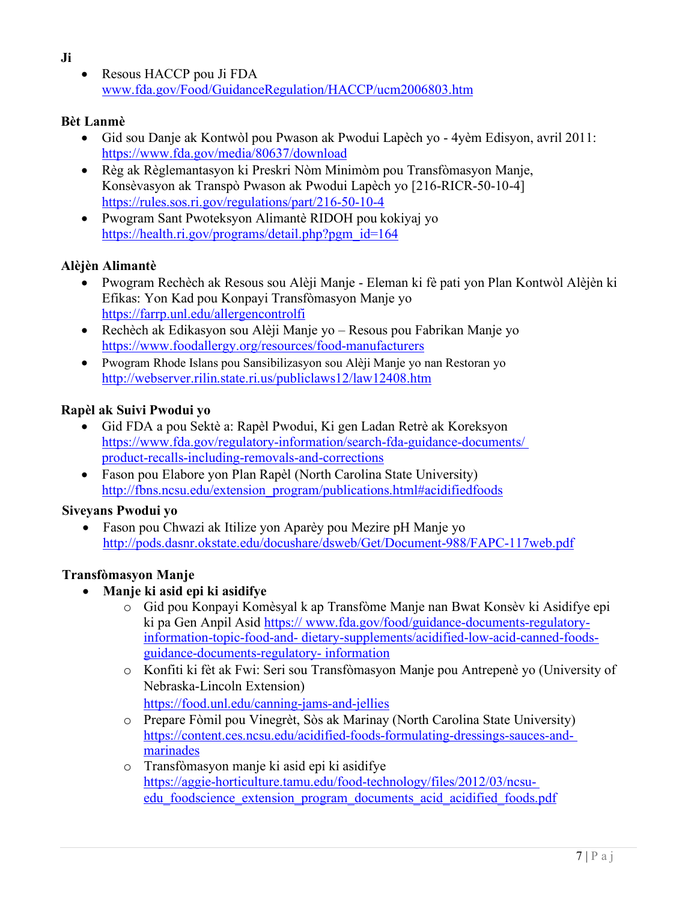- **Ji**
- Resous HACCP pou Ji FDA [www.fda.gov/Food/GuidanceRegulation/HACCP/ucm2006803.htm](http://www.fda.gov/Food/GuidanceRegulation/HACCP/ucm2006803.htm)

# **[Bèt Lanmè](http://www.fsis.usda.gov/wps/portal/fsis/topics/regulatory-compliance/haccp/small-and-very-small-plant-outreach)**

- Gid sou Danje ak Kontwòl pou Pwason ak Pwodui Lapèch yo 4yèm Edisyon, avril 2011: <https://www.fda.gov/media/80637/download>
- [Règ ak Règlemantasyon k](http://www.cag.uconn.edu/nutsci/nutsci/foodsafety/Food_Processing_landing_page/Processing_Meat_%26_Poultry/HACCP.php)i Preskri Nòm Minimòm pou Transfòmasyon Manje, Konsèvasyon ak Transpò Pwason ak Pwodui Lapèch yo [216-RICR-50-10-4] https://rules.sos.ri.gov/regulations/part/216-50-10-4
- Pwogram Sant Pwoteksyon Alimantè RIDOH pou kokiyaj yo [https://health.ri.gov/programs/detail.php?pgm\\_id=164](https://health.ri.gov/programs/detail.php?pgm_id=164)

# **Alèjèn Alimantè**

- Pwogram Rechèch ak Resous sou Alèji Manje Eleman ki fè pati yon Plan Kontwòl Alèjèn ki Efikas: Yon Kad pou Konpayi Transfòmasyon Manje yo https://farrp.unl.edu/allergencontrolfi
- Rechèch ak Edikasyon sou Alèji Manje yo Resous pou Fabrikan Manje yo <https://www.foodallergy.org/resources/food-manufacturers>
- Pwogram Rhode Islans pou Sansibilizasyon sou Alèji Manje yo nan Restoran yo <http://webserver.rilin.state.ri.us/publiclaws12/law12408.htm>

# **Rapèl ak Suivi Pwodui yo**

- Gid FDA a pou Sektè a: Rapèl Pwodui, Ki gen Ladan Retrè ak Koreksyon [https://www.fda.gov/regulatory-information/search-fda-guidance-documents/](https://www.fda.gov/regulatory-information/search-fda-guidance-documents/product-recalls-including-removals-and-corrections)  [product-recalls-including-removals-and-corrections](https://www.fda.gov/regulatory-information/search-fda-guidance-documents/product-recalls-including-removals-and-corrections)
- [Fason pou Elabore yon Plan Rapèl \(North Carol](https://farrp.unl.edu/allergencontrolfi)ina State University) [http://fbns.ncsu.edu/extension\\_program/publications.html#acidifiedfoods](http://www.foodallergy.org/resources/food-manufacturers)

# **Siveyans Pwodui yo**

• Fason pou Chwazi ak Itilize yon Aparèy pou Mezire pH Manje yo <http://pods.dasnr.okstate.edu/docushare/dsweb/Get/Document-988/FAPC-117web.pdf>

# **Transfòmasyon Manje**

- **Manje ki asid epi ki asidifye**
	- o [Gid pou Konpayi Komèsyal k ap Transfòme Manje nan Bwat Konsèv ki Asidifye epi](https://www.fda.gov/food/guidance-documents-regulatory-information-topic-food-and-dietary-supplements/acidified-low-acid-canned-foods-guidance-documents-regulatory-information)  [ki pa Gen Anpil Asid https:// www.fda.gov/food/guidance-documents-regulatory](https://www.fda.gov/food/guidance-documents-regulatory-information-topic-food-and-dietary-supplements/acidified-low-acid-canned-foods-guidance-documents-regulatory-information)information-topic-food-and- [dietary-supplements/acidified-low-acid-canned-foods](https://www.fda.gov/food/guidance-documents-regulatory-information-topic-food-and-dietary-supplements/acidified-low-acid-canned-foods-guidance-documents-regulatory-information)[guidance-documents-regulatory-](https://www.fda.gov/food/guidance-documents-regulatory-information-topic-food-and-dietary-supplements/acidified-low-acid-canned-foods-guidance-documents-regulatory-information) information
	- o Konfiti ki fèt ak Fwi: Seri sou Transfòmasyon Manje pou Antrepenè yo (University of Nebraska-Lincoln Extension) <https://food.unl.edu/canning-jams-and-jellies>
	- o Prepare Fòmil pou Vinegrèt, Sòs ak Marinay (North Carolina State University) [https://content.ces.ncsu.edu/acidified-foods-formulating-dressings-sauces-and](https://content.ces.ncsu.edu/acidified-foods-formulating-dressings-sauces-and-marinades)[marinades](https://content.ces.ncsu.edu/acidified-foods-formulating-dressings-sauces-and-marinades)
	- o Transfòmasyon manje ki asid epi ki asidifye https://aggie-horticulture.tamu.edu/food-technology/files/2012/03/ncsuedu foodscience extension program documents acid acidified foods.pdf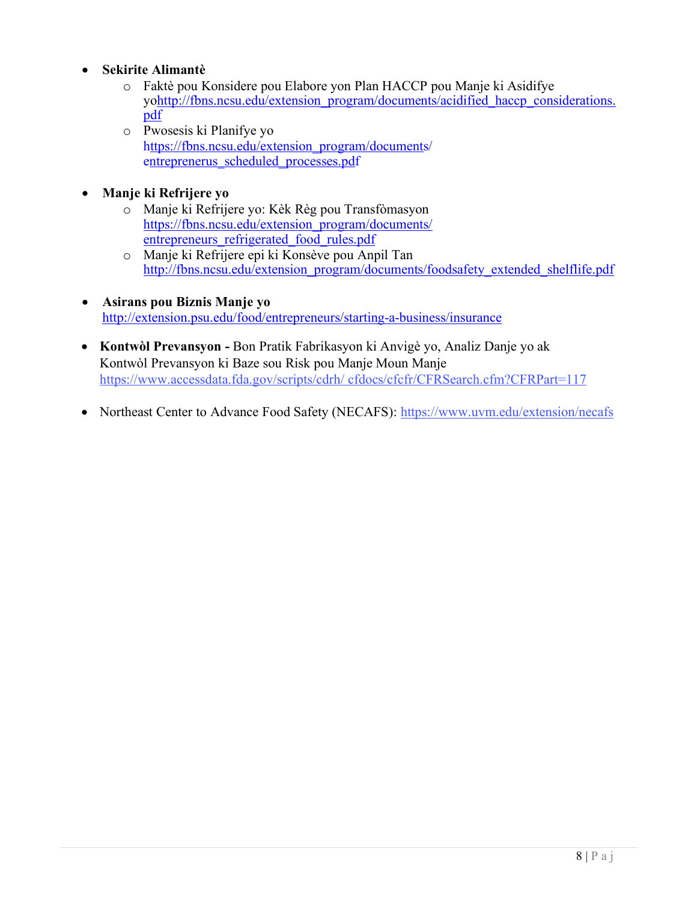## • **Sekirite Alimantè**

- o [Faktè pou Konsidere pou Elabore yon Plan HACCP pou M](http://ianrpubs.unl.edu/live/g1604/build/g1604.pdf)anje ki Asidifye y[ohttp://fbns.ncsu.edu/extension\\_program/documents/acidified\\_haccp\\_considerations.](http://fbns.ncsu.edu/extension_program/documents/acidified_haccp_considerations.pdf) [pdf](http://fbns.ncsu.edu/extension_program/documents/acidified_haccp_considerations.pdf)
- o [Pwosesis ki Planifye yo](http://fbns.ncsu.edu/extension_program/documents/acidified_formulating_dressings.pdf) https://fbns.ncsu.edu/extension\_program/documents/ entreprenerus scheduled processes.pdf

## • **Manje ki Refrijere yo**

- o Manje ki Refrijere yo: Kèk Règ pou Transfòmasyon https://fbns.ncsu.edu/extension\_program/documents/ entrepreneurs refrigerated food rules.pdf
- o Manje ki Refrijere epi ki Konsève pou Anpil Tan [http://fbns.ncsu.edu/extension\\_program/documents/foodsafety\\_extended\\_shelflife.pdf](http://fbns.ncsu.edu/extension_program/documents/entreprenerus_scheduled_processes.pdf)
- **Asirans pou Biznis Manje yo** <http://extension.psu.edu/food/entrepreneurs/starting-a-business/insurance>
- **Kontwòl Prevansyon -** Bon Pratik Fabrikasyon ki Anvigè yo, Analiz Danje yo ak Kontwòl Prevansyon ki Baze sou Risk pou Manje Moun Manje [https://www.accessdata.fda.gov/scripts/cdrh/](http://www.accessdata.fda.gov/scripts/cdrh/) cfdocs/cfcfr/CFRSearch.cfm?CFRPart=117
- Northeast Center to Advance Food Safety (NECAFS):<https://www.uvm.edu/extension/necafs>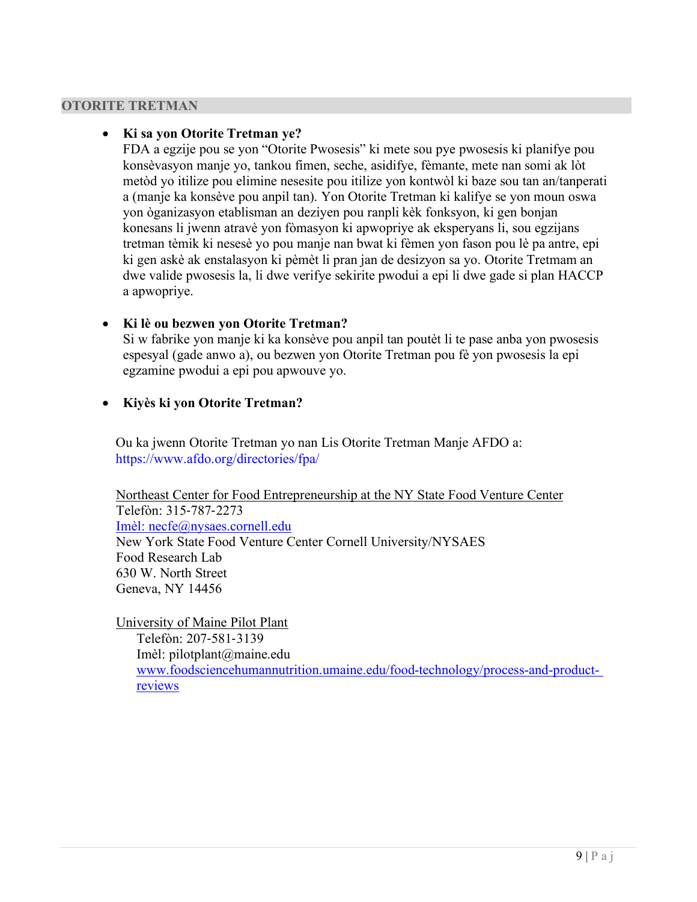#### **OTORITE TRETMAN**

#### • **Ki sa yon Otorite Tretman ye?**

FDA a egzije pou se yon "Otorite Pwosesis" ki mete sou pye pwosesis ki planifye pou konsèvasyon manje yo, tankou fimen, seche, asidifye, fèmante, mete nan somi ak lòt metòd yo itilize pou elimine nesesite pou itilize yon kontwòl ki baze sou tan an/tanperati a (manje ka konsève pou anpil tan). Yon Otorite Tretman ki kalifye se yon moun oswa yon òganizasyon etablisman an deziyen pou ranpli kèk fonksyon, ki gen bonjan konesans li jwenn atravè yon fòmasyon ki apwopriye ak eksperyans li, sou egzijans tretman tèmik ki nesesè yo pou manje nan bwat ki fèmen yon fason pou lè pa antre, epi ki gen askè ak enstalasyon ki pèmèt li pran jan de desizyon sa yo. Otorite Tretmam an dwe valide pwosesis la, li dwe verifye sekirite pwodui a epi li dwe gade si plan HACCP a apwopriye.

#### • **Ki lè ou bezwen yon Otorite Tretman?**

Si w fabrike yon manje ki ka konsève pou anpil tan poutèt li te pase anba yon pwosesis espesyal (gade anwo a), ou bezwen yon Otorite Tretman pou fè yon pwosesis la epi egzamine pwodui a epi pou apwouve yo.

#### • **Kiyès ki yon Otorite Tretman?**

Ou ka jwenn Otorite Tretman yo nan Lis Otorite Tretman Manje AFDO a: <https://www.afdo.org/directories/fpa/>

Northeast Center for Food Entrepreneurship at the NY State Food Venture Center Telefòn: 315‐787‐2273 [Imèl: necfe@nysaes.cornell.edu](mailto:Im%C3%A8l:%20necfe@nysaes.cornell.edu) New York State Food Venture Center Cornell University/NYSAES Food Research Lab 630 W. North Street Geneva, NY 14456

University of Maine Pilot Plant Telefòn: 207‐581‐3139 Imèl: [pilotplant@maine.edu](mailto:pilotplant@maine.edu) [www.foodsciencehumannutrition.umaine.edu/food-technology/process-and-product](http://www.foodsciencehumannutrition.umaine.edu/food-technology/process-and-product-)reviews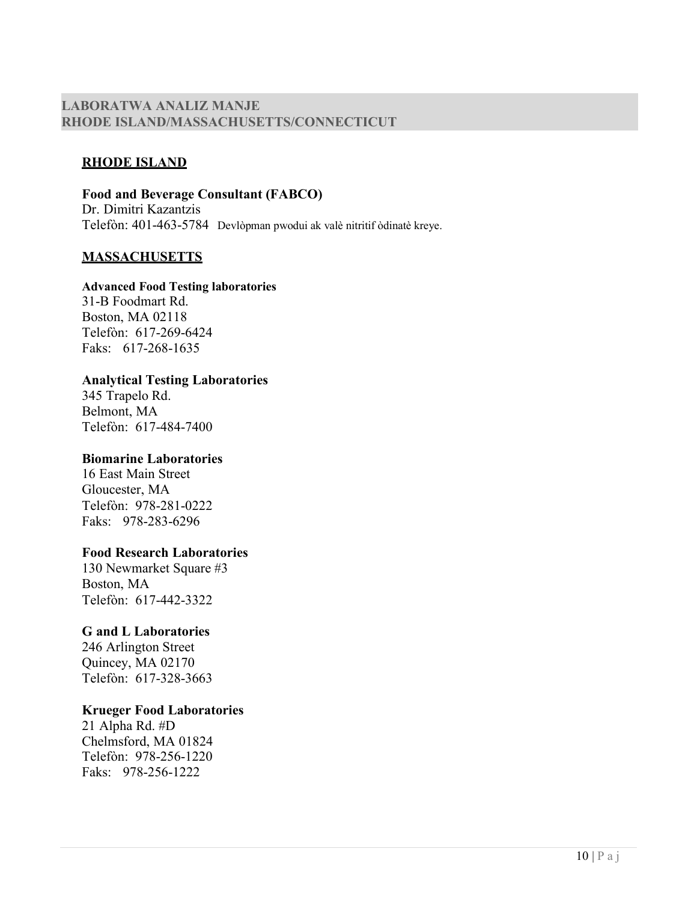### **LABORATWA ANALIZ MANJE RHODE ISLAND/MASSACHUSETTS/CONNECTICUT**

#### **RHODE ISLAND**

**Food and Beverage Consultant (FABCO)** Dr. Dimitri Kazantzis Telefòn: 401-463-5784 Devlòpman pwodui ak valè nitritif òdinatè kreye.

#### **MASSACHUSETTS**

#### **Advanced Food Testing laboratories**

31-B Foodmart Rd. Boston, MA 02118 Telefòn: 617-269-6424 Faks: 617-268-1635

#### **Analytical Testing Laboratories**

345 Trapelo Rd. Belmont, MA Telefòn: 617-484-7400

#### **Biomarine Laboratories**

16 East Main Street Gloucester, MA Telefòn: 978-281-0222 Faks: 978-283-6296

#### **Food Research Laboratories**

130 Newmarket Square #3 Boston, MA Telefòn: 617-442-3322

#### **G and L Laboratories**

246 Arlington Street Quincey, MA 02170 Telefòn: 617-328-3663

#### **Krueger Food Laboratories**

21 Alpha Rd. #D Chelmsford, MA 01824 Telefòn: 978-256-1220 Faks: 978-256-1222